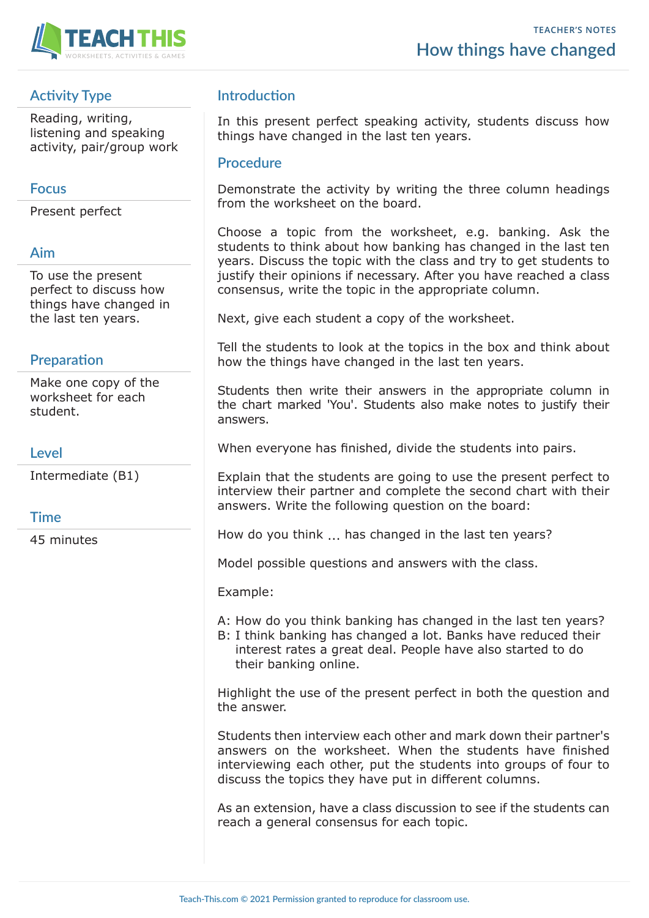



# **Activity Type**

Reading, writing, listening and speaking activity, pair/group work

## **Focus**

Present perfect

### **Aim**

To use the present perfect to discuss how things have changed in the last ten years.

## **Preparation**

Make one copy of the worksheet for each student.

### **Level**

Intermediate (B1)

### **Time**

45 minutes

## **Introduction**

In this present perfect speaking activity, students discuss how things have changed in the last ten years.

#### **Procedure**

Demonstrate the activity by writing the three column headings from the worksheet on the board.

Choose a topic from the worksheet, e.g. banking. Ask the students to think about how banking has changed in the last ten years. Discuss the topic with the class and try to get students to justify their opinions if necessary. After you have reached a class consensus, write the topic in the appropriate column.

Next, give each student a copy of the worksheet.

Tell the students to look at the topics in the box and think about how the things have changed in the last ten years.

Students then write their answers in the appropriate column in the chart marked 'You'. Students also make notes to justify their answers.

When everyone has finished, divide the students into pairs.

Explain that the students are going to use the present perfect to interview their partner and complete the second chart with their answers. Write the following question on the board:

How do you think ... has changed in the last ten years?

Model possible questions and answers with the class.

Example:

A: How do you think banking has changed in the last ten years?

B: I think banking has changed a lot. Banks have reduced their interest rates a great deal. People have also started to do their banking online.

Highlight the use of the present perfect in both the question and the answer.

Students then interview each other and mark down their partner's answers on the worksheet. When the students have finished interviewing each other, put the students into groups of four to discuss the topics they have put in different columns.

As an extension, have a class discussion to see if the students can reach a general consensus for each topic.